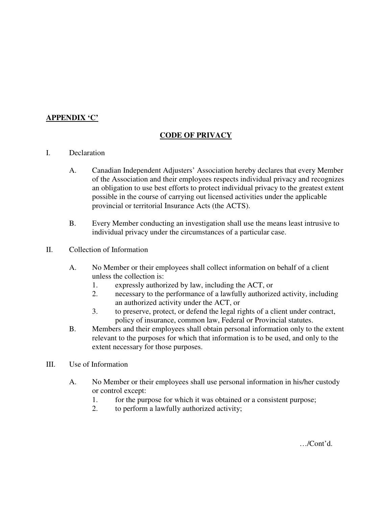## **APPENDIX 'C'**

## **CODE OF PRIVACY**

## I. Declaration

- A. Canadian Independent Adjusters' Association hereby declares that every Member of the Association and their employees respects individual privacy and recognizes an obligation to use best efforts to protect individual privacy to the greatest extent possible in the course of carrying out licensed activities under the applicable provincial or territorial Insurance Acts (the ACTS).
- B. Every Member conducting an investigation shall use the means least intrusive to individual privacy under the circumstances of a particular case.
- II. Collection of Information
	- A. No Member or their employees shall collect information on behalf of a client unless the collection is:
		- 1. expressly authorized by law, including the ACT, or
		- 2. necessary to the performance of a lawfully authorized activity, including an authorized activity under the ACT, or
		- 3. to preserve, protect, or defend the legal rights of a client under contract, policy of insurance, common law, Federal or Provincial statutes.
	- B. Members and their employees shall obtain personal information only to the extent relevant to the purposes for which that information is to be used, and only to the extent necessary for those purposes.
- III. Use of Information
	- A. No Member or their employees shall use personal information in his/her custody or control except:
		- 1. for the purpose for which it was obtained or a consistent purpose;
		- 2. to perform a lawfully authorized activity;

…/Cont'd.